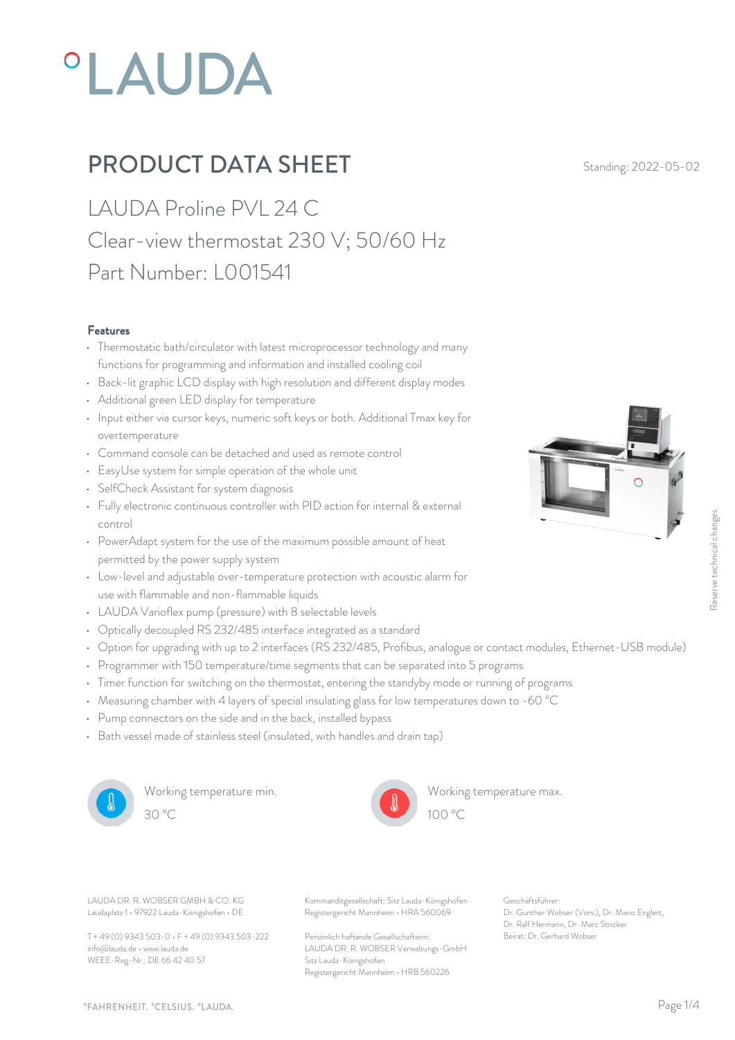# **°LAUDA**

## **PRODUCT DATA SHEET** Standing: 2022-05-02

LAUDA Proline PVL 24 C Clear-view thermostat 230 V; 50/60 Hz Part Number: L001541

#### Features

- Thermostatic bath/circulator with latest microprocessor technology and many functions for programming and information and installed cooling coil
- Back-lit graphic LCD display with high resolution and different display modes
- Additional green LED display for temperature
- Input either via cursor keys, numeric soft keys or both. Additional Tmax key for overtemperature
- Command console can be detached and used as remote control
- EasyUse system for simple operation of the whole unit
- SelfCheck Assistant for system diagnosis
- Fully electronic continuous controller with PID action for internal & external control
- PowerAdapt system for the use of the maximum possible amount of heat permitted by the power supply system
- Low-level and adjustable over-temperature protection with acoustic alarm for use with flammable and non-flammable liquids
- LAUDA Varioflex pump (pressure) with 8 selectable levels
- Optically decoupled RS 232/485 interface integrated as a standard
- Option for upgrading with up to 2 interfaces (RS 232/485, Profibus, analogue or contact modules, Ethernet-USB module)
- Programmer with 150 temperature/time segments that can be separated into 5 programs
- Timer function for switching on the thermostat, entering the standyby mode or running of programs
- Measuring chamber with 4 layers of special insulating glass for low temperatures down to -60 °C
- Pump connectors on the side and in the back, installed bypass
- Bath vessel made of stainless steel (insulated, with handles and drain tap)



Working temperature min. 30 °C 100 °C



Working temperature max.  $100 \degree C$ 

Laudaplatz 1 • 97922 Lauda-Königshofen • DE

T + 49 (0) 9343 503-0 • F + 49 (0) 9343 503-222 info@lauda.de • www.lauda.de WEEE-Reg-Nr.: DE 66 42 40 57

LAUDA DR. R. WOBSER GMBH & CO. KG Kommanditgesellschaft: Sitz Lauda-Königshofen Geschäftsführer: Registergericht Mannheim • HRA 560069

> Persönlich haftende Gesellschafterin: Beirat: Dr. Gerhard Wobse LAUDA DR. R. WOBSER Verwaltungs-GmbH Sitz Lauda-Königshofen Registergericht Mannheim • HRB 560226

Geschäftsführer: Dr. Gunther Wobser (Vors.), Dr. Mario Englert, Dr. Ralf Hermann, Dr. Marc Stricker Execution Controllers, Ethernet-USB module)<br>Being of programs<br>ams<br>to -60 °C<br>Beschäftsführer:<br>Printer Wobser (Vors.), Dr. Mario Englert,<br>Dr. Geinter Wobser (Vors.), Dr. Mario Englert,<br>Dr. Reli Hermann, Dr. Marc Stricker<br>Bei

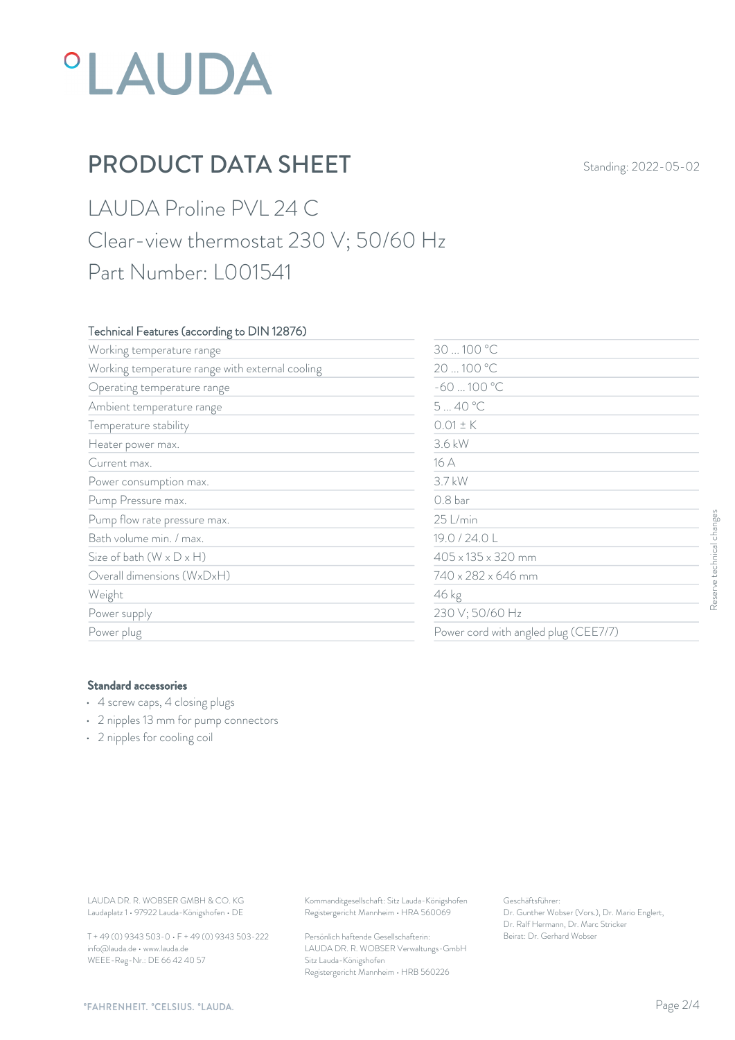## **°LAUDA**

## **PRODUCT DATA SHEET** Standing: 2022-05-02

LAUDA Proline PVL 24 C Clear-view thermostat 230 V; 50/60 Hz Part Number: L001541

#### Technical Features (according to DIN 12876)

| Working temperature range                                                                                                               | 30  100 °C                                                                             |                                                                                                           |                           |
|-----------------------------------------------------------------------------------------------------------------------------------------|----------------------------------------------------------------------------------------|-----------------------------------------------------------------------------------------------------------|---------------------------|
| Working temperature range with external cooling                                                                                         |                                                                                        | 20  100 °C                                                                                                |                           |
| Operating temperature range                                                                                                             | $-60100 °C$                                                                            |                                                                                                           |                           |
| Ambient temperature range                                                                                                               | 540 °C                                                                                 |                                                                                                           |                           |
| Temperature stability                                                                                                                   | $0.01 \pm K$                                                                           |                                                                                                           |                           |
| Heater power max.                                                                                                                       | 3.6 kW                                                                                 |                                                                                                           |                           |
| Current max.                                                                                                                            | 16 A                                                                                   |                                                                                                           |                           |
| Power consumption max.                                                                                                                  | 3.7 kW                                                                                 | 0.8 bar<br>25 L/min                                                                                       |                           |
| Pump Pressure max.                                                                                                                      |                                                                                        |                                                                                                           | Reserve technical changes |
| Pump flow rate pressure max.                                                                                                            |                                                                                        |                                                                                                           |                           |
| Bath volume min. / max.                                                                                                                 | 19.0 / 24.0 L                                                                          |                                                                                                           |                           |
| Size of bath $(W \times D \times H)$                                                                                                    |                                                                                        | 405 x 135 x 320 mm                                                                                        |                           |
| Overall dimensions (WxDxH)                                                                                                              |                                                                                        | 740 x 282 x 646 mm<br>46 kg<br>230 V; 50/60 Hz                                                            |                           |
| Weight                                                                                                                                  |                                                                                        |                                                                                                           |                           |
| Power supply                                                                                                                            |                                                                                        |                                                                                                           |                           |
| Power plug                                                                                                                              |                                                                                        | Power cord with angled plug (CEE7/7)                                                                      |                           |
| <b>Standard accessories</b><br>• 4 screw caps, 4 closing plugs<br>• 2 nipples 13 mm for pump connectors<br>• 2 nipples for cooling coil |                                                                                        |                                                                                                           |                           |
|                                                                                                                                         |                                                                                        |                                                                                                           |                           |
| LAUDA DR. R. WOBSER GMBH & CO. KG<br>Laudaplatz 1 · 97922 Lauda-Königshofen · DE                                                        | Kommanditgesellschaft: Sitz Lauda-Königshofen<br>Registergericht Mannheim · HRA 560069 | Geschäftsführer:<br>Dr. Gunther Wobser (Vors.), Dr. Mario Englert,<br>Dr. Ralf Hermann, Dr. Marc Stricker |                           |

#### Standard accessories

- 4 screw caps, 4 closing plugs
- 2 nipples 13 mm for pump connectors
- 2 nipples for cooling coil

T + 49 (0) 9343 503-0 • F + 49 (0) 9343 503-222 info@lauda.de • www.lauda.de WEEE-Reg-Nr.: DE 66 42 40 57

> Persönlich haftende Gesellschafterin: Beirat: Dr. Gerhard Wobse LAUDA DR. R. WOBSER Verwaltungs-GmbH Sitz Lauda-Königshofen Registergericht Mannheim • HRB 560226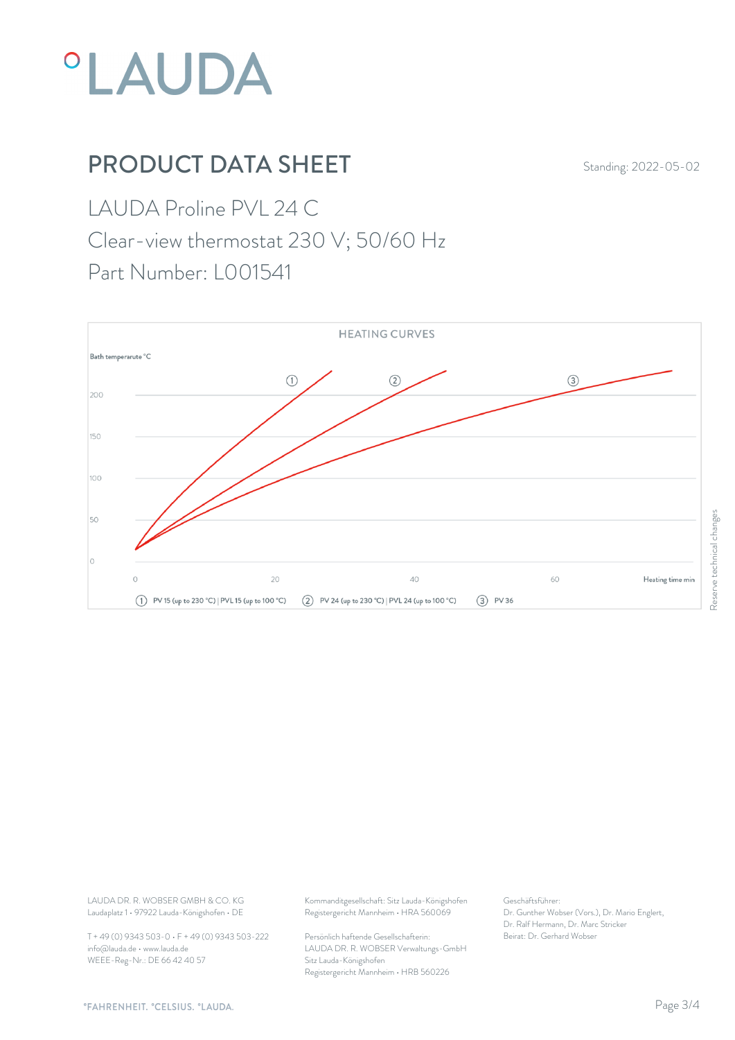

## **PRODUCT DATA SHEET** Standing: 2022-05-02

LAUDA Proline PVL 24 C

Clear-view thermostat 230 V; 50/60 Hz

Part Number: L001541



Laudaplatz 1 • 97922 Lauda-Königshofen • DE

T + 49 (0) 9343 503-0 • F + 49 (0) 9343 503-222 info@lauda.de • www.lauda.de WEEE-Reg-Nr.: DE 66 42 40 57

LAUDA DR. R. WOBSER GMBH & CO. KG Kommanditgesellschaft: Sitz Lauda-Königshofen Geschäftsführer: Registergericht Mannheim • HRA 560069

> Persönlich haftende Gesellschafterin: Beirat: Dr. Gerhard Wobse LAUDA DR. R. WOBSER Verwaltungs-GmbH Sitz Lauda-Königshofen Registergericht Mannheim • HRB 560226

Geschäftsführer: Dr. Gunther Wobser (Vors.), Dr. Mario Englert, Dr. Ralf Hermann, Dr. Marc Stricker